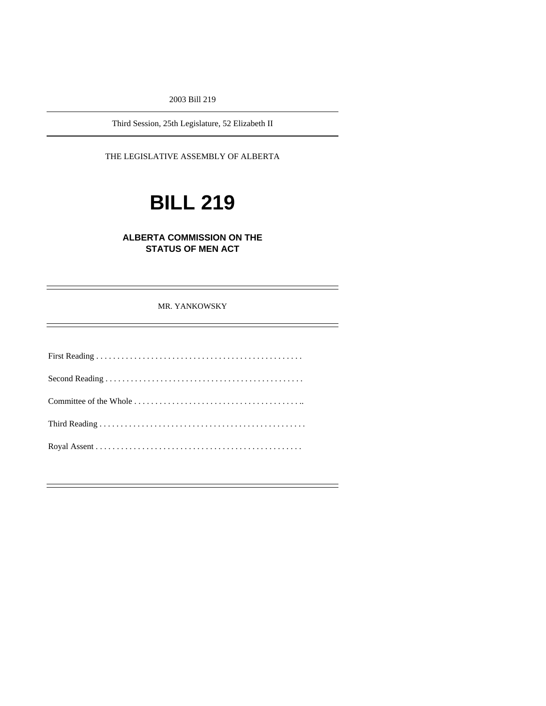2003 Bill 219

Third Session, 25th Legislature, 52 Elizabeth II

THE LEGISLATIVE ASSEMBLY OF ALBERTA

# **BILL 219**

# **ALBERTA COMMISSION ON THE STATUS OF MEN ACT**

#### MR. YANKOWSKY

-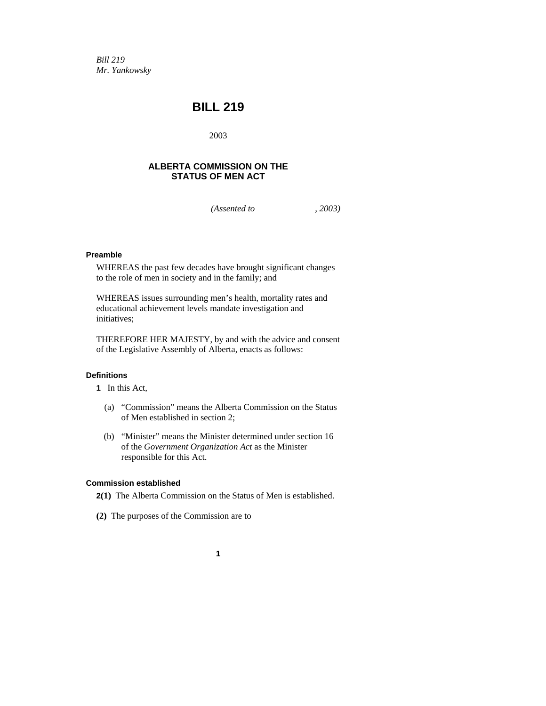*Bill 219 Mr. Yankowsky* 

# **BILL 219**

2003

# **ALBERTA COMMISSION ON THE STATUS OF MEN ACT**

*(Assented to , 2003)* 

# **Preamble**

WHEREAS the past few decades have brought significant changes to the role of men in society and in the family; and

WHEREAS issues surrounding men's health, mortality rates and educational achievement levels mandate investigation and initiatives;

THEREFORE HER MAJESTY, by and with the advice and consent of the Legislative Assembly of Alberta, enacts as follows:

#### **Definitions**

- **1** In this Act,
	- (a) "Commission" means the Alberta Commission on the Status of Men established in section 2;
	- (b) "Minister" means the Minister determined under section 16 of the *Government Organization Act* as the Minister responsible for this Act.

### **Commission established**

- **2(1)** The Alberta Commission on the Status of Men is established.
- **(2)** The purposes of the Commission are to
	- **1**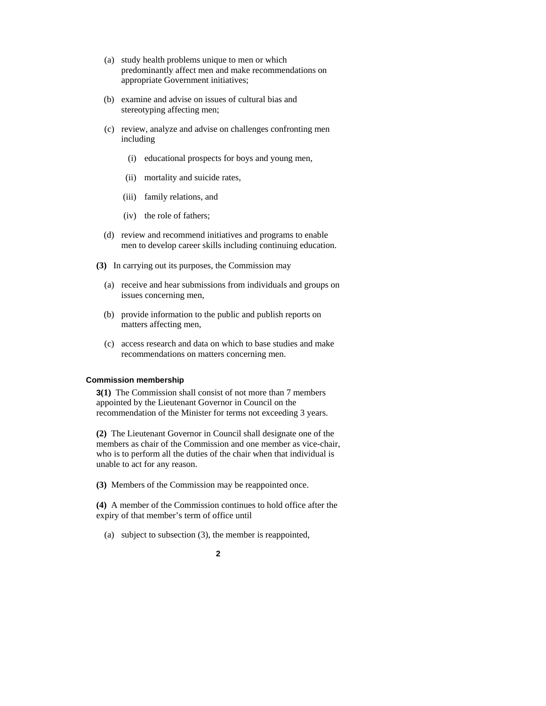- (a) study health problems unique to men or which predominantly affect men and make recommendations on appropriate Government initiatives;
- (b) examine and advise on issues of cultural bias and stereotyping affecting men;
- (c) review, analyze and advise on challenges confronting men including
	- (i) educational prospects for boys and young men,
	- (ii) mortality and suicide rates,
	- (iii) family relations, and
	- (iv) the role of fathers;
- (d) review and recommend initiatives and programs to enable men to develop career skills including continuing education.
- **(3)** In carrying out its purposes, the Commission may
	- (a) receive and hear submissions from individuals and groups on issues concerning men,
	- (b) provide information to the public and publish reports on matters affecting men,
	- (c) access research and data on which to base studies and make recommendations on matters concerning men.

#### **Commission membership**

**3(1)** The Commission shall consist of not more than 7 members appointed by the Lieutenant Governor in Council on the recommendation of the Minister for terms not exceeding 3 years.

**(2)** The Lieutenant Governor in Council shall designate one of the members as chair of the Commission and one member as vice-chair, who is to perform all the duties of the chair when that individual is unable to act for any reason.

**(3)** Members of the Commission may be reappointed once.

**(4)** A member of the Commission continues to hold office after the expiry of that member's term of office until

(a) subject to subsection (3), the member is reappointed,